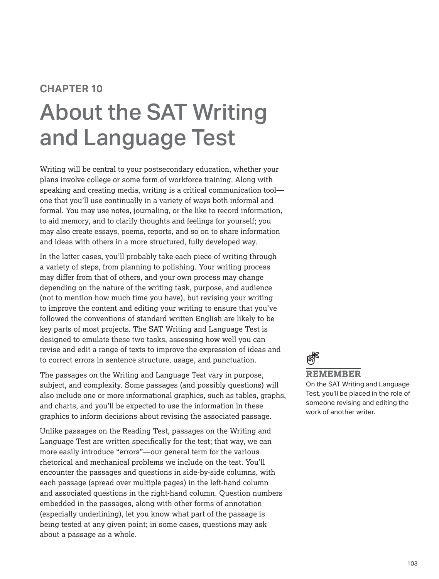## **CHAPTER 10** About the SAT Writing and Language Test

Writing will be central to your postsecondary education, whether your plans involve college or some form of workforce training. Along with speaking and creating media, writing is a critical communication tool one that you'll use continually in a variety of ways both informal and formal. You may use notes, journaling, or the like to record information, to aid memory, and to clarify thoughts and feelings for yourself; you may also create essays, poems, reports, and so on to share information and ideas with others in a more structured, fully developed way.

In the latter cases, you'll probably take each piece of writing through a variety of steps, from planning to polishing. Your writing process may differ from that of others, and your own process may change depending on the nature of the writing task, purpose, and audience (not to mention how much time you have), but revising your writing to improve the content and editing your writing to ensure that you've followed the conventions of standard written English are likely to be key parts of most projects. The SAT Writing and Language Test is designed to emulate these two tasks, assessing how well you can revise and edit a range of texts to improve the expression of ideas and to correct errors in sentence structure, usage, and punctuation.

The passages on the Writing and Language Test vary in purpose, subject, and complexity. Some passages (and possibly questions) will also include one or more informational graphics, such as tables, graphs, and charts, and you'll be expected to use the information in these graphics to inform decisions about revising the associated passage.

Unlike passages on the Reading Test, passages on the Writing and Language Test are written specifically for the test; that way, we can more easily introduce "errors"—our general term for the various rhetorical and mechanical problems we include on the test. You'll encounter the passages and questions in side-by-side columns, with each passage (spread over multiple pages) in the left-hand column and associated questions in the right-hand column. Question numbers embedded in the passages, along with other forms of annotation (especially underlining), let you know what part of the passage is being tested at any given point; in some cases, questions may ask about a passage as a whole.

# **REMEMBER**

On the SAT Writing and Language Test, you'll be placed in the role of someone revising and editing the work of another writer.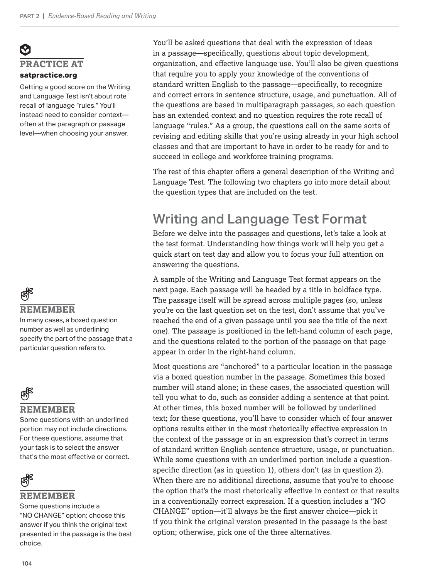## **PRACTICE AT [satpractice.org](http://satpractice.org)**

Getting a good score on the Writing and Language Test isn't about rote recall of language "rules." You'll instead need to consider context often at the paragraph or passage level—when choosing your answer.



### **REMEMBER**

In many cases, a boxed question number as well as underlining specify the part of the passage that a particular question refers to.



#### **REMEMBER**

Some questions with an underlined portion may not include directions. For these questions, assume that your task is to select the answer that's the most effective or correct.

### **REMEMBER**

Some questions include a "NO CHANGE" option; choose this answer if you think the original text presented in the passage is the best choice.

You'll be asked questions that deal with the expression of ideas in a passage—specifically, questions about topic development, organization, and effective language use. You'll also be given questions that require you to apply your knowledge of the conventions of standard written English to the passage—specifically, to recognize and correct errors in sentence structure, usage, and punctuation. All of the questions are based in multiparagraph passages, so each question has an extended context and no question requires the rote recall of language "rules." As a group, the questions call on the same sorts of revising and editing skills that you're using already in your high school classes and that are important to have in order to be ready for and to succeed in college and workforce training programs.

The rest of this chapter offers a general description of the Writing and Language Test. The following two chapters go into more detail about the question types that are included on the test.

### Writing and Language Test Format

Before we delve into the passages and questions, let's take a look at the test format. Understanding how things work will help you get a quick start on test day and allow you to focus your full attention on answering the questions.

A sample of the Writing and Language Test format appears on the next page. Each passage will be headed by a title in boldface type. The passage itself will be spread across multiple pages (so, unless you're on the last question set on the test, don't assume that you've reached the end of a given passage until you see the title of the next one). The passage is positioned in the left-hand column of each page, and the questions related to the portion of the passage on that page appear in order in the right-hand column.

Most questions are "anchored" to a particular location in the passage via a boxed question number in the passage. Sometimes this boxed number will stand alone; in these cases, the associated question will tell you what to do, such as consider adding a sentence at that point. At other times, this boxed number will be followed by underlined text; for these questions, you'll have to consider which of four answer options results either in the most rhetorically effective expression in the context of the passage or in an expression that's correct in terms of standard written English sentence structure, usage, or punctuation. While some questions with an underlined portion include a questionspecific direction (as in question 1), others don't (as in question 2). When there are no additional directions, assume that you're to choose the option that's the most rhetorically effective in context or that results in a conventionally correct expression. If a question includes a "NO CHANGE" option—it'll always be the first answer choice—pick it if you think the original version presented in the passage is the best option; otherwise, pick one of the three alternatives.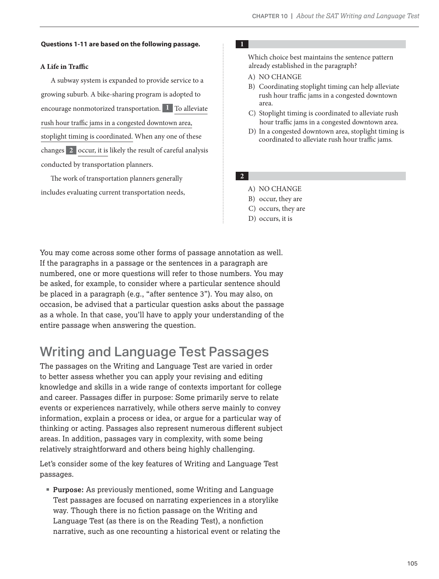#### **Questions 1-11 are based on the following passage.**

#### A Life in Traffic

A subway system is expanded to provide service to a growing suburb. A bike-sharing program is adopted to encourage nonmotorized transportation. **1** To alleviate rush hour traffic jams in a congested downtown area, stoplight timing is coordinated. When any one of these changes **2** occur, it is likely the result of careful analysis conducted by transportation planners.

The work of transportation planners generally includes evaluating current transportation needs,

#### **1**

Which choice best maintains the sentence pattern already established in the paragraph?

- A) NO CHANGE
- B) Coordinating stoplight timing can help alleviate rush hour traffic jams in a congested downtown area.
- C) Stoplight timing is coordinated to alleviate rush hour traffic jams in a congested downtown area.
- D) In a congested downtown area, stoplight timing is coordinated to alleviate rush hour traffic jams.

**2**

- A) NO CHANGE
- B) occur, they are
- C) occurs, they are
- D) occurs, it is

You may come across some other forms of passage annotation as well. If the paragraphs in a passage or the sentences in a paragraph are numbered, one or more questions will refer to those numbers. You may be asked, for example, to consider where a particular sentence should be placed in a paragraph (e.g., "after sentence 3"). You may also, on occasion, be advised that a particular question asks about the passage as a whole. In that case, you'll have to apply your understanding of the entire passage when answering the question.

### Writing and Language Test Passages

The passages on the Writing and Language Test are varied in order to better assess whether you can apply your revising and editing knowledge and skills in a wide range of contexts important for college and career. Passages differ in purpose: Some primarily serve to relate events or experiences narratively, while others serve mainly to convey information, explain a process or idea, or argue for a particular way of thinking or acting. Passages also represent numerous different subject areas. In addition, passages vary in complexity, with some being relatively straightforward and others being highly challenging.

Let's consider some of the key features of Writing and Language Test passages.

§ **Purpose:** As previously mentioned, some Writing and Language Test passages are focused on narrating experiences in a storylike way. Though there is no fiction passage on the Writing and Language Test (as there is on the Reading Test), a nonfiction narrative, such as one recounting a historical event or relating the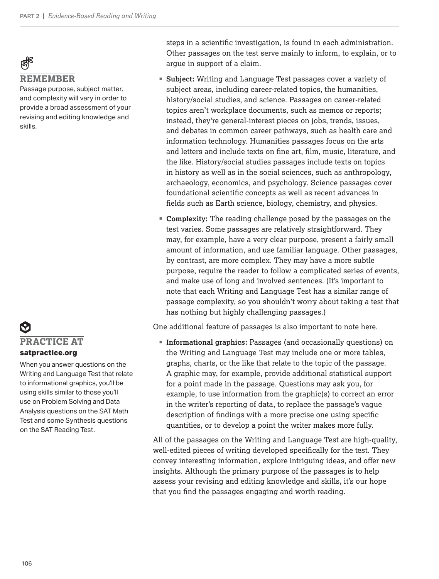

Passage purpose, subject matter, and complexity will vary in order to provide a broad assessment of your revising and editing knowledge and skills.



When you answer questions on the Writing and Language Test that relate to informational graphics, you'll be using skills similar to those you'll use on Problem Solving and Data Analysis questions on the SAT Math Test and some Synthesis questions on the SAT Reading Test.

steps in a scientific investigation, is found in each administration. Other passages on the test serve mainly to inform, to explain, or to argue in support of a claim.

- § **Subject:** Writing and Language Test passages cover a variety of subject areas, including career-related topics, the humanities, history/social studies, and science. Passages on career-related topics aren't workplace documents, such as memos or reports; instead, they're general-interest pieces on jobs, trends, issues, and debates in common career pathways, such as health care and information technology. Humanities passages focus on the arts and letters and include texts on fine art, film, music, literature, and the like. History/social studies passages include texts on topics in history as well as in the social sciences, such as anthropology, archaeology, economics, and psychology. Science passages cover foundational scientific concepts as well as recent advances in fields such as Earth science, biology, chemistry, and physics.
- § **Complexity:** The reading challenge posed by the passages on the test varies. Some passages are relatively straightforward. They may, for example, have a very clear purpose, present a fairly small amount of information, and use familiar language. Other passages, by contrast, are more complex. They may have a more subtle purpose, require the reader to follow a complicated series of events, and make use of long and involved sentences. (It's important to note that each Writing and Language Test has a similar range of passage complexity, so you shouldn't worry about taking a test that has nothing but highly challenging passages.)

One additional feature of passages is also important to note here.

§ **Informational graphics:** Passages (and occasionally questions) on the Writing and Language Test may include one or more tables, graphs, charts, or the like that relate to the topic of the passage. A graphic may, for example, provide additional statistical support for a point made in the passage. Questions may ask you, for example, to use information from the graphic(s) to correct an error in the writer's reporting of data, to replace the passage's vague description of findings with a more precise one using specific quantities, or to develop a point the writer makes more fully.

All of the passages on the Writing and Language Test are high-quality, well-edited pieces of writing developed specifically for the test. They convey interesting information, explore intriguing ideas, and offer new insights. Although the primary purpose of the passages is to help assess your revising and editing knowledge and skills, it's our hope that you find the passages engaging and worth reading.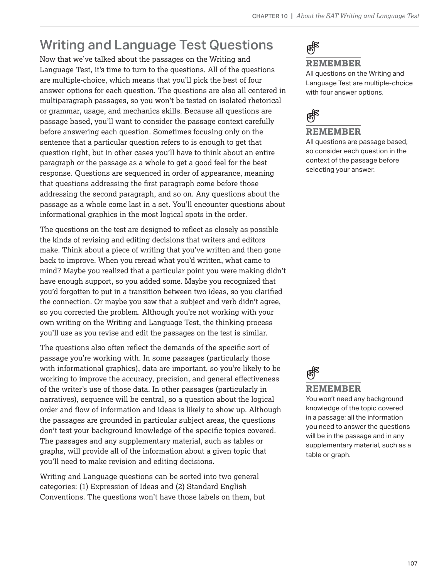## Writing and Language Test Questions

Now that we've talked about the passages on the Writing and Language Test, it's time to turn to the questions. All of the questions are multiple-choice, which means that you'll pick the best of four answer options for each question. The questions are also all centered in multiparagraph passages, so you won't be tested on isolated rhetorical or grammar, usage, and mechanics skills. Because all questions are passage based, you'll want to consider the passage context carefully before answering each question. Sometimes focusing only on the sentence that a particular question refers to is enough to get that question right, but in other cases you'll have to think about an entire paragraph or the passage as a whole to get a good feel for the best response. Questions are sequenced in order of appearance, meaning that questions addressing the first paragraph come before those addressing the second paragraph, and so on. Any questions about the passage as a whole come last in a set. You'll encounter questions about informational graphics in the most logical spots in the order.

The questions on the test are designed to reflect as closely as possible the kinds of revising and editing decisions that writers and editors make. Think about a piece of writing that you've written and then gone back to improve. When you reread what you'd written, what came to mind? Maybe you realized that a particular point you were making didn't have enough support, so you added some. Maybe you recognized that you'd forgotten to put in a transition between two ideas, so you clarified the connection. Or maybe you saw that a subject and verb didn't agree, so you corrected the problem. Although you're not working with your own writing on the Writing and Language Test, the thinking process you'll use as you revise and edit the passages on the test is similar.

The questions also often reflect the demands of the specific sort of passage you're working with. In some passages (particularly those with informational graphics), data are important, so you're likely to be working to improve the accuracy, precision, and general effectiveness of the writer's use of those data. In other passages ( particularly in narratives), sequence will be central, so a question about the logical order and flow of information and ideas is likely to show up. Although the passages are grounded in particular subject areas, the questions don't test your background knowledge of the specific topics covered. The passages and any supplementary material, such as tables or graphs, will provide all of the information about a given topic that you'll need to make revision and editing decisions.

Writing and Language questions can be sorted into two general categories: (1) Expression of Ideas and (2) Standard English Conventions. The questions won't have those labels on them, but

# 咪

**REMEMBER**

All questions on the Writing and Language Test are multiple-choice with four answer options.

### 嘟 **REMEMBER**

All questions are passage based, so consider each question in the context of the passage before selecting your answer.

**REMEMBER** You won't need any background

knowledge of the topic covered in a passage; all the information you need to answer the questions will be in the passage and in any supplementary material, such as a table or graph.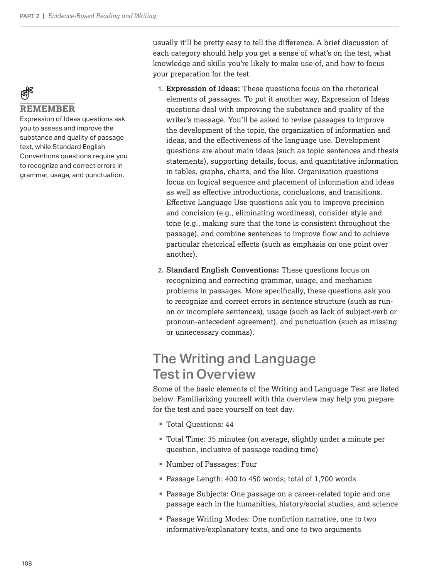### 咪 **REMEMBER**

Expression of Ideas questions ask you to assess and improve the substance and quality of passage text, while Standard English Conventions questions require you to recognize and correct errors in grammar, usage, and punctuation.

usually it'll be pretty easy to tell the difference. A brief discussion of each category should help you get a sense of what's on the test, what knowledge and skills you're likely to make use of, and how to focus your preparation for the test.

- **1. Expression of Ideas:** These questions focus on the rhetorical elements of passages. To put it another way, Expression of Ideas questions deal with improving the substance and quality of the writer's message. You'll be asked to revise passages to improve the development of the topic, the organization of information and ideas, and the effectiveness of the language use. Development questions are about main ideas (such as topic sentences and thesis statements), supporting details, focus, and quantitative information in tables, graphs, charts, and the like. Organization questions focus on logical sequence and placement of information and ideas as well as effective introductions, conclusions, and transitions. Effective Language Use questions ask you to improve precision and concision (e.g., eliminating wordiness), consider style and tone (e.g., making sure that the tone is consistent throughout the passage), and combine sentences to improve flow and to achieve particular rhetorical effects (such as emphasis on one point over another).
- **2. Standard English Conventions:** These questions focus on recognizing and correcting grammar, usage, and mechanics problems in passages. More specifically, these questions ask you to recognize and correct errors in sentence structure (such as runon or incomplete sentences), usage (such as lack of subject-verb or pronoun-antecedent agreement), and punctuation (such as missing or unnecessary commas).

### The Writing and Language Test in Overview

Some of the basic elements of the Writing and Language Test are listed below. Familiarizing yourself with this overview may help you prepare for the test and pace yourself on test day.

- Total Ouestions: 44
- Total Time: 35 minutes (on average, slightly under a minute per question, inclusive of passage reading time)
- Number of Passages: Four
- Passage Length: 400 to 450 words; total of 1,700 words
- Passage Subjects: One passage on a career-related topic and one passage each in the humanities, history/social studies, and science
- Passage Writing Modes: One nonfiction narrative, one to two informative/explanatory texts, and one to two arguments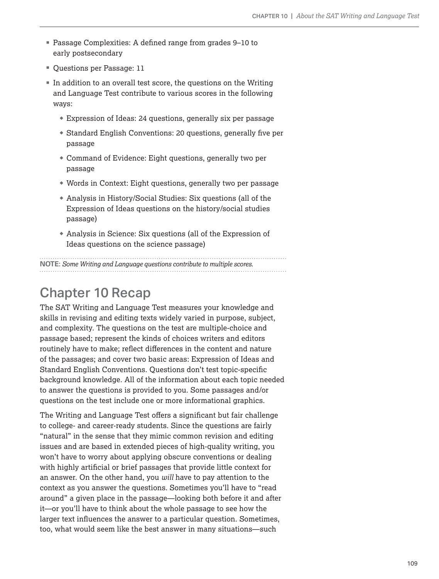- § Passage Complexities: A defined range from grades 9–10 to early postsecondary
- Questions per Passage: 11
- In addition to an overall test score, the questions on the Writing and Language Test contribute to various scores in the following ways:
	- \* Expression of Ideas: 24 questions, generally six per passage
	- **\*** Standard English Conventions: 20 questions, generally five per passage
	- Command of Evidence: Eight questions, generally two per passage
	- Words in Context: Eight questions, generally two per passage
	- w Analysis in History/Social Studies: Six questions (all of the Expression of Ideas questions on the history/social studies passage)
	- \* Analysis in Science: Six questions (all of the Expression of Ideas questions on the science passage)

**NOTE:** *Some Writing and Language questions contribute to multiple scores.*

## Chapter 10 Recap

The SAT Writing and Language Test measures your knowledge and skills in revising and editing texts widely varied in purpose, subject, and complexity. The questions on the test are multiple-choice and passage based; represent the kinds of choices writers and editors routinely have to make; reflect differences in the content and nature of the passages; and cover two basic areas: Expression of Ideas and Standard English Conventions. Questions don't test topic-specific background knowledge. All of the information about each topic needed to answer the questions is provided to you. Some passages and/or questions on the test include one or more informational graphics.

The Writing and Language Test offers a significant but fair challenge to college- and career-ready students. Since the questions are fairly "natural" in the sense that they mimic common revision and editing issues and are based in extended pieces of high-quality writing, you won't have to worry about applying obscure conventions or dealing with highly artificial or brief passages that provide little context for an answer. On the other hand, you *will* have to pay attention to the context as you answer the questions. Sometimes you'll have to "read around" a given place in the passage— looking both before it and after it—or you'll have to think about the whole passage to see how the larger text influences the answer to a particular question. Sometimes, too, what would seem like the best answer in many situations—such